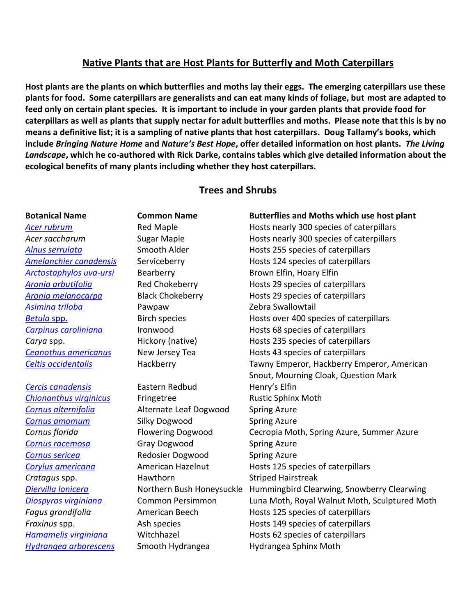# **Native Plants that are Host Plants for Butterfly and Moth Caterpillars**

**Host plants are the plants on which butterflies and moths lay their eggs. The emerging caterpillars use these plants for food. Some caterpillars are generalists and can eat many kinds of foliage, but most are adapted to feed only on certain plant species. It is important to include in your garden plants that provide food for caterpillars as well as plants that supply nectar for adult butterflies and moths. Please note that this is by no means a definitive list; it is a sampling of native plants that host caterpillars. Doug Tallamy's books, which include** *Bringing Nature Home* **and** *Nature's Best Hope***, offer detailed information on host plants.** *The Living Landscape***, which he co-authored with Rick Darke, contains tables which give detailed information about the ecological benefits of many plants including whether they host caterpillars.**

## **Trees and Shrubs**

# **Botanical Name Common Name Butterflies and Moths which use host plant** [Acer rubrum](https://drive.google.com/file/d/1ZWEVq1E7F9M_GJKEqM8Av9-1jWO0Ac-W/view?usp=sharing) **Red Maple** Red Maple **Hosts nearly 300 species of caterpillars** *Acer saccharum* Sugar Maple Hosts nearly 300 species of caterpillars [Alnus serrulata](https://drive.google.com/file/d/1vE736KIqoD_1p7_KaX_bsIQBpgCcxBFV/view?usp=sharing) **Smooth Alder** Hosts 255 species of caterpillars [Amelanchier canadensis](https://drive.google.com/file/d/1YRtTovx4ulNoa3NNsqqgjcUN3ebsndk4/view?usp=sharing) Serviceberry **Hosts 124** species of caterpillars [Arctostaphylos uva-ursi](https://drive.google.com/file/d/1l3iyhftGcaZRCzQgw2WhHlb5d6uzLO7B/view?usp=sharing) Bearberry Brown Elfin, Hoary Elfin **[Aronia arbutifolia](https://drive.google.com/file/d/1KkHrROGnLDf0qeoN9vTAuXzKIpL8-wE0/view?usp=sharing) Red Chokeberry Hosts 29 species of caterpillars** *[Aronia melanocarpa](https://drive.google.com/file/d/1wIq1g38Yhuz2WiVooyro6_LuMcVCbKZB/view?usp=sharing)* Black Chokeberry Hosts 29 species of caterpillars *[Asimina triloba](https://drive.google.com/file/d/1jvPSXv0BHMGqoNCy-u4CtkON8phdh7er/view?usp=sharing)* Pawpaw Zebra Swallowtail **[Betula](https://drive.google.com/file/d/1zGikON0SCYhkg99a67GrM-6McFpbPFN9/view?usp=sharing) spp.** Birch species Hosts over 400 species of caterpillars **[Carpinus caroliniana](https://drive.google.com/file/d/1lNd45_2UEPwv4Kmg7j5CKdkGISRlFH0Y/view?usp=sharing)** Ironwood Hosts 68 species of caterpillars **Carya spp.** Thickory (native) **Hosts 235 species of caterpillars [Ceanothus americanus](https://drive.google.com/file/d/1yRRQ1Oa_X8qh3NLh0zKGmWJbvllZoRoO/view?usp=sharing)** New Jersey Tea **Hosts 43** species of caterpillars *[Celtis occidentalis](https://drive.google.com/file/d/1xoTDzl1Q6XbsINxZJV3ppc99BuPWon3F/view?usp=sharing)* Hackberry Tawny Emperor, Hackberry Emperor, American Snout, Mourning Cloak, Question Mark **[Cercis canadensis](https://drive.google.com/file/d/1Os5rsYph4S8aCWdujcokPv6xi47E0LXj/view?usp=sharing)** Eastern Redbud Henry's Elfin **[Chionanthus virginicus](https://drive.google.com/file/d/1nfePl5wA8a0OJbKj-ce-WqK5PKICn_TL/view?usp=sharing)** Fringetree **Fringetree** Rustic Sphinx Moth *[Cornus alternifolia](https://drive.google.com/file/d/1rbnflhLsfgUV42q9MVloJutwbDDpY3N1/view?usp=sharing)* Alternate Leaf Dogwood Spring Azure *[Cornus amomum](https://drive.google.com/file/d/1HfXBQn4SeqiXg9PU6saDOEnCtk_W2jmy/view?usp=sharing)* Silky Dogwood Spring Azure *Cornus florida* Flowering Dogwood Cecropia Moth, Spring Azure, Summer Azure *[Cornus racemosa](https://drive.google.com/file/d/11-21LLf2vdyTFyoWbX4tMGew5ZMlROXV/view?usp=sharing)* Gray Dogwood Spring Azure *[Cornus sericea](https://drive.google.com/file/d/1lX9w-SeOVRgaOsKWDZfT9KjRsg_bSf00/view?usp=sharing)* Redosier Dogwood Spring Azure *[Corylus americana](https://drive.google.com/file/d/1MfuIQHIoG9lafliQkb1Cs1cQFkkfMUaQ/view?usp=sharing)* American Hazelnut Hosts 125 species of caterpillars **Cratagus spp.** The Hawthorn Cratagus **Striped Hairstreak** *[Diervilla lonicera](https://drive.google.com/file/d/1odTqKzTVW_Dy50b9oVQi_CF5vGzyfvPl/view?usp=sharing)* Northern Bush Honeysuckle Hummingbird Clearwing, Snowberry Clearwing *[Diospyros virginiana](https://drive.google.com/file/d/10HfwSCaUuCEXPdSZMDgY05U-QOMrNznu/view?usp=sharing)* Common Persimmon Luna Moth, Royal Walnut Moth, Sculptured Moth **Fagus grandifolia American Beech Hosts 125 species of caterpillars Fraxinus spp.** The Ash species The Hosts 149 species of caterpillars and Hosts 149 species of caterpillars *[Hamamelis virginiana](https://drive.google.com/file/d/1A7u8uuDlOFNRMYCSc_zEeH9eSZfYnkW9/view?usp=sharing)* Witchhazel Hosts 62 species of caterpillars *[Hydrangea arborescens](https://drive.google.com/file/d/1SPcUcyhyGdX-ZaCbO0zK9fY1cQxcjb1X/view?usp=sharing)* Smooth Hydrangea Hydrangea Sphinx Moth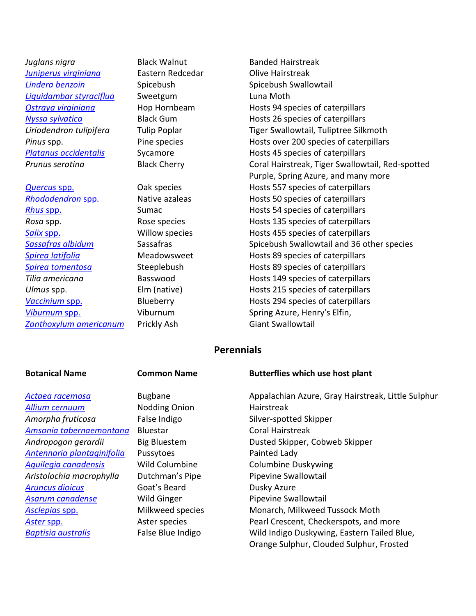- *Juglans nigra* Black Walnut Banded Hairstreak *[Juniperus virginiana](https://drive.google.com/file/d/1LskD6x81-Qsj-lB7zIwcgKuWmelPBh06/view?usp=sharing)* Eastern Redcedar **Constanting Constanting Constanting Constanting Constanting Constanting Constanting Constanting Constanting Constanting Constanting Constanting Constanting Constanting Constanting C** *[Lindera benzoin](https://drive.google.com/file/d/15YiWFD5xF8JowkxKdrSpa0N1LnUvUVou/view?usp=sharing)* Spicebush Spicebush Swallowtail *[Liquidambar styraciflua](https://drive.google.com/file/d/1wze-8j916qJxPhLuazbzAo1kvMRZ_OZt/view?usp=sharing)* Sweetgum Luna Moth
- [Zanthoxylum americanum](https://drive.google.com/file/d/1gkAuvzkSfv4wFk7lA-6AaunG4tK7GMLw/view?usp=sharing) Prickly Ash Giant Swallowtail

*[Ostraya virginiana](https://drive.google.com/file/d/1a9yq71ZiWzaxY9fS2bEymGVc8FlUNvpm/view?usp=sharing)* Hop Hornbeam Hosts 94 species of caterpillars *[Nyssa sylvatica](https://drive.google.com/file/d/1ALQbRP8N8naz2j-bGljHk5kqKHd7B1bw/view?usp=sharing)* Black Gum **Black Hosts 26** species of caterpillars *Liriodendron tulipifera* Tulip Poplar Tiger Swallowtail, Tuliptree Silkmoth **Pinus spp.** Pine species **Pinus** Hosts over 200 species of caterpillars **[Platanus occidentalis](https://drive.google.com/file/d/1jHXIg0iQ4vvf3i_LNBaWeOgy0Iykitpj/view?usp=sharing)** Sycamore **Mathems** Hosts 45 species of caterpillars **Prunus serotina Black Cherry Coral Hairstreak, Tiger Swallowtail, Red-spotted**  Purple, Spring Azure, and many more *[Quercus](https://drive.google.com/file/d/1cqjhawFp6PMxhgY0lYWJCmKG1-aMRBs7/view?usp=sharing) spp.* **Calcus Community Community Community** Hosts 557 species of caterpillars *[Rhododendron](https://drive.google.com/file/d/1yRpcKW6kLlCVWvxB0ENhSPOuVzl_nS_Z/view?usp=sharing)* spp. The Native azaleas The Hosts 50 species of caterpillars **[Rhus](https://drive.google.com/file/d/1KxDBS2-5lYD4QYQ9ZJaaUwKV2zYa2YtB/view?usp=sharing) spp.** Sumac Sumac Hosts 54 species of caterpillars **Rosa** spp. The Rose species **Rosa** Hosts 135 species of caterpillars *[Salix](https://drive.google.com/file/d/1Ma0x4OtEdkeHvkUcogbDjrVis_W0s5LS/view?usp=sharing)* spp. Willow species Hosts 455 species of caterpillars **[Sassafras albidum](https://drive.google.com/file/d/1MvrICfekCiut7rOovCVdCjnGkx-ISga8/view?usp=sharing)** Sassafras Sassafras Spicebush Swallowtail and 36 other species **[Spirea latifolia](https://drive.google.com/file/d/1xbUx6rKe8l-y_Gxg-27u7mGSFvuht6WH/view?usp=sharing)** Meadowsweet Hosts 89 species of caterpillars *[Spirea tomentosa](https://drive.google.com/file/d/1aAPOjbCFwuKa0K6M_gmJY2T_T0OpZsBu/view?usp=sharing)* Steeplebush Hosts 89 species of caterpillars *Tilia americana* Basswood Hosts 149 species of caterpillars *Ulmus* spp. The set of the set of the set of the Hosts 215 species of caterpillars [Vaccinium](https://drive.google.com/file/d/1Uoqx9SSvyiBk3Ehz55uWEsNwmqSHa8Xb/view?usp=sharing) spp. **Blueberry Hosts 294 species of caterpillars** *[Viburnum](https://drive.google.com/file/d/1pLnKYzjp3Qk7pO5avOndJ6_bbHNseUvU/view?usp=sharing)* spp. Viburnum Spring Azure, Henry's Elfin,

## **Perennials**

*[Allium cernuum](https://drive.google.com/file/d/1IUC83znHPjBtJIMbByjn9zvkeXOUNl24/view?usp=sharing)* Nodding Onion Hairstreak Amorpha fruticosa **False Indigo** False Indigo Silver-spotted Skipper [Amsonia tabernaemontana](https://drive.google.com/file/d/1vB_ML4g5ZOIRZZX-qLsRKhixfSOsSASF/view?usp=sharing) Bluestar **Coral Hairstreak** *[Antennaria plantaginifolia](https://drive.google.com/file/d/1DfHZO4nSEH76t5ELeDImnJ1sMFyhVUfm/view?usp=sharing)* Pussytoes Painted Lady *[Aquilegia canadensis](https://drive.google.com/file/d/1fhLyYlR1XsKg6gGZpZLp4s3Dm1kX-1Hr/view?usp=sharing)* Wild Columbine Columbine Duskywing Aristolochia macrophylla Dutchman's Pipe Pipevine Swallowtail **[Aruncus dioicus](https://drive.google.com/file/d/1v7-gRDBB-VgFMzcqkn3QKJ7jpKhb5dzQ/view?usp=sharing)** Goat's Beard Dusky Azure **[Asarum canadense](https://drive.google.com/file/d/1WJwnRubICCmOXue-Paqaqf63gt5T4SSp/view?usp=sharing)** Mild Ginger **Night Constant Proving Swallowtail** 

### **Botanical Name Common Name Butterflies which use host plant**

*[Actaea racemosa](https://drive.google.com/file/d/1vCyvesg0Ye7Vp-VwBrifBRTRRu1eEWjQ/view?usp=sharing)* Bugbane Appalachian Azure, Gray Hairstreak, Little Sulphur Andropogon gerardii Big Bluestem **Dusted Skipper, Cobweb Skipper** *[Asclepias](https://drive.google.com/file/d/1iTdZsOpoaJf6knqt9GOZn0sB1l1w9NNX/view?usp=sharing)* spp. Milkweed species Monarch, Milkweed Tussock Moth [Aster](https://drive.google.com/file/d/1hsvIZbvrAtIwHFNGJpSYiTI93I_mraxu/view?usp=sharing) spp. **Aster** species **Aster** species **Pearl Crescent, Checkerspots, and more** *[Baptisia australis](https://drive.google.com/file/d/1gPudVCP1npOMwnvEeYhc1yr94jQd9z2_/view?usp=sharing)* False Blue Indigo Wild Indigo Duskywing, Eastern Tailed Blue, Orange Sulphur, Clouded Sulphur, Frosted